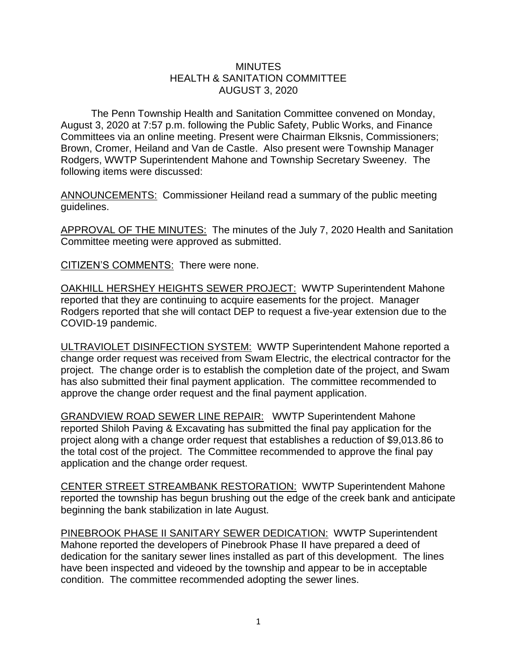## **MINUTES** HEALTH & SANITATION COMMITTEE AUGUST 3, 2020

The Penn Township Health and Sanitation Committee convened on Monday, August 3, 2020 at 7:57 p.m. following the Public Safety, Public Works, and Finance Committees via an online meeting. Present were Chairman Elksnis, Commissioners; Brown, Cromer, Heiland and Van de Castle. Also present were Township Manager Rodgers, WWTP Superintendent Mahone and Township Secretary Sweeney. The following items were discussed:

ANNOUNCEMENTS: Commissioner Heiland read a summary of the public meeting guidelines.

APPROVAL OF THE MINUTES: The minutes of the July 7, 2020 Health and Sanitation Committee meeting were approved as submitted.

CITIZEN'S COMMENTS: There were none.

OAKHILL HERSHEY HEIGHTS SEWER PROJECT: WWTP Superintendent Mahone reported that they are continuing to acquire easements for the project. Manager Rodgers reported that she will contact DEP to request a five-year extension due to the COVID-19 pandemic.

ULTRAVIOLET DISINFECTION SYSTEM: WWTP Superintendent Mahone reported a change order request was received from Swam Electric, the electrical contractor for the project. The change order is to establish the completion date of the project, and Swam has also submitted their final payment application. The committee recommended to approve the change order request and the final payment application.

GRANDVIEW ROAD SEWER LINE REPAIR: WWTP Superintendent Mahone reported Shiloh Paving & Excavating has submitted the final pay application for the project along with a change order request that establishes a reduction of \$9,013.86 to the total cost of the project. The Committee recommended to approve the final pay application and the change order request.

CENTER STREET STREAMBANK RESTORATION: WWTP Superintendent Mahone reported the township has begun brushing out the edge of the creek bank and anticipate beginning the bank stabilization in late August.

PINEBROOK PHASE II SANITARY SEWER DEDICATION: WWTP Superintendent Mahone reported the developers of Pinebrook Phase II have prepared a deed of dedication for the sanitary sewer lines installed as part of this development. The lines have been inspected and videoed by the township and appear to be in acceptable condition. The committee recommended adopting the sewer lines.